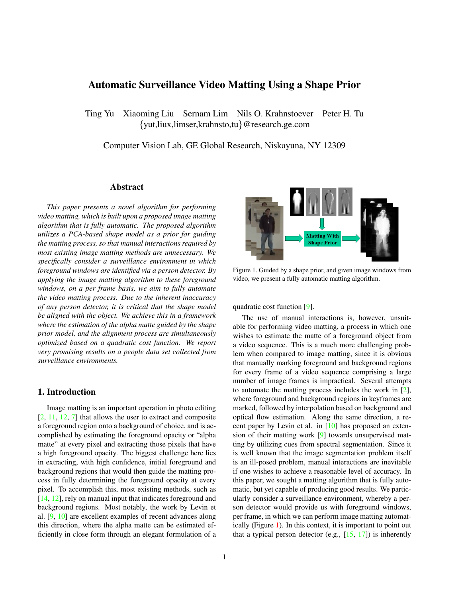# Automatic Surveillance Video Matting Using <sup>a</sup> Shape Prior

Ting Yu Xiaoming Liu Sernam Lim Nils O. Krahnstoever Peter H. Tu {yut,liux,limser,krahnsto,tu}@research.ge.com

Computer Vision Lab, GE Global Research, Niskayuna, NY <sup>12309</sup>

#### Abstract

*This paper presents <sup>a</sup> novel algorithm for performing video matting, which is built upon <sup>a</sup> proposed image matting algorithm that is fully automatic. The proposed algorithm utilizes <sup>a</sup> PCA-based shape model as <sup>a</sup> prior for guiding the matting process, so that manual interactions required by most existing image matting methods are unnecessary. We specifically consider <sup>a</sup> surveillance environment in which foreground windows are identified via <sup>a</sup> person detector. By applying the image matting algorithm to these foreground windows, on <sup>a</sup> per frame basis, we aim to fully automate the video matting process. Due to the inherent inaccuracy of any person detector, it is critical that the shape model be aligned with the object. We achieve this in <sup>a</sup> framework where the estimation of the alpha matte guided by the shape prior model, and the alignment process are simultaneously optimized based on <sup>a</sup> quadratic cost function. We repor<sup>t</sup> very promising results on <sup>a</sup> people data set collected from surveillance environments.*

#### 1. Introduction

Image matting is an important operation in <sup>p</sup>hoto editing [2, 11, 12, 7] that allows the user to extract and composite <sup>a</sup> foreground region onto <sup>a</sup> background of choice, and is accomplished by estimating the foreground opacity or "alpha matte" at every <sup>p</sup>ixel and extracting those <sup>p</sup>ixels that have <sup>a</sup> high foreground opacity. The biggest challenge here lies in extracting, with high confidence, initial foreground and background regions that would then guide the matting process in fully determining the foreground opacity at every <sup>p</sup>ixel. To accomplish this, most existing methods, such as [14, 12], rely on manual input that indicates foreground and background regions. Most notably, the work by Levin et al. [9, 10] are excellent examples of recent advances along this direction, where the alpha matte can be estimated efficiently in close form through an elegant formulation of <sup>a</sup>



Figure 1. Guided by <sup>a</sup> shape prior, and <sup>g</sup>iven image windows from video, we presen<sup>t</sup> <sup>a</sup> fully automatic matting algorithm.

quadratic cost function [9].

The use of manual interactions is, however, unsuitable for performing video matting, <sup>a</sup> process in which one wishes to estimate the matte of <sup>a</sup> foreground object from <sup>a</sup> video sequence. This is <sup>a</sup> much more challenging problem when compare<sup>d</sup> to image matting, since it is obvious that manually marking foreground and background regions for every frame of <sup>a</sup> video sequence comprising <sup>a</sup> large number of image frames is impractical. Several attempts to automate the matting process includes the work in [2], where foreground and background regions in keyframes are marked, followed by interpolation based on background and optical flow estimation. Along the same direction, <sup>a</sup> recent paper by Levin et al. in  $[10]$  has proposed an extension of their matting work [9] towards unsupervised matting by utilizing cues from spectral segmentation. Since it is well known that the image segmentation problem itself is an ill-posed problem, manual interactions are inevitable if one wishes to achieve <sup>a</sup> reasonable level of accuracy. In this paper, we sought <sup>a</sup> matting algorithm that is fully automatic, but ye<sup>t</sup> capable of producing goo<sup>d</sup> results. We particularly consider <sup>a</sup> surveillance environment, whereby <sup>a</sup> person detector would provide us with foreground windows, per frame, in which we can perform image matting automatically (Figure 1). In this context, it is important to point out that a typical person detector (e.g.,  $[15, 17]$ ) is inherently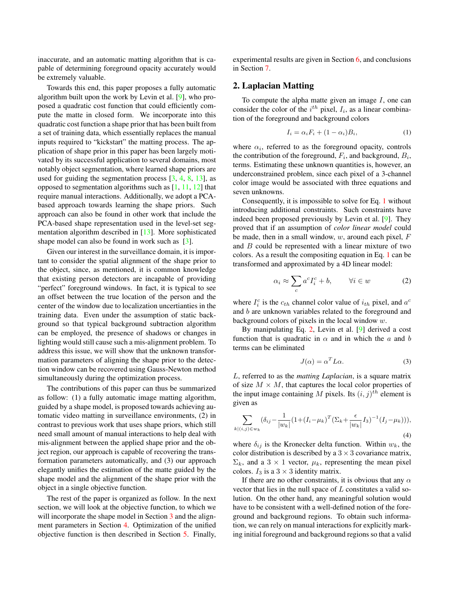inaccurate, and an automatic matting algorithm that is capable of determining foreground opacity accurately would be extremely valuable.

Towards this end, this paper proposes <sup>a</sup> fully automatic algorithm built upon the work by Levin et al. [9], who propose<sup>d</sup> <sup>a</sup> quadratic cost function that could efficiently compute the matte in closed form. We incorporate into this quadratic cost function <sup>a</sup> shape prior that has been built from <sup>a</sup> set of training data, which essentially replaces the manual inputs required to "kickstart" the matting process. The ap<sup>p</sup>lication of shape prior in this paper has been largely motivated by its successful application to several domains, most notably object segmentation, where learned shape priors are used for guiding the segmentation process  $[3, 4, 8, 13]$ , as oppose<sup>d</sup> to segmentation algorithms such as [1, 11, 12] that require manual interactions. Additionally, we adopt <sup>a</sup> PCAbased approac<sup>h</sup> towards learning the shape priors. Such approac<sup>h</sup> can also be found in other work that include the PCA-based shape representation used in the level-set segmentation algorithm described in [13]. More sophisticated shape model can also be found in work such as [3].

Given our interest in the surveillance domain, it is important to consider the spatial alignment of the shape prior to the object, since, as mentioned, it is common knowledge that existing person detectors are incapable of providing "perfect" foreground windows. In fact, it is typical to see an offset between the true location of the person and the center of the window due to localization uncertianties in the training data. Even under the assumption of static backgroun<sup>d</sup> so that typical background subtraction algorithm can be employed, the presence of shadows or changes in lighting would still cause such <sup>a</sup> mis-alignment problem. To address this issue, we will show that the unknown transformation parameters of aligning the shape prior to the detection window can be recovered using Gauss-Newton method simultaneously during the optimization process.

The contributions of this paper can thus be summarized as follow: (1) <sup>a</sup> fully automatic image matting algorithm, guided by <sup>a</sup> shape model, is propose<sup>d</sup> towards achieving automatic video matting in surveillance environments, (2) in contrast to previous work that uses shape priors, which still need small amount of manual interactions to help deal with mis-alignment between the applied shape prior and the object region, our approac<sup>h</sup> is capable of recovering the transformation parameters automatically, and (3) our approac<sup>h</sup> elegantly unifies the estimation of the matte guided by the shape model and the alignment of the shape prior with the object in <sup>a</sup> single objective function.

The rest of the paper is organized as follow. In the next section, we will look at the objective function, to which we will incorporate the shape model in Section 3 and the alignment parameters in Section 4. Optimization of the unified objective function is then described in Section 5. Finally, experimental results are <sup>g</sup>iven in Section 6, and conclusions in Section 7.

# 2. Laplacian Matting

To compute the alpha matte given an image  $I$ , one can consider the color of the  $i^{th}$  pixel,  $I_i$ , as a linear combination of the foreground and background colors

$$
I_i = \alpha_i F_i + (1 - \alpha_i) B_i, \tag{1}
$$

where  $\alpha_i$ , referred to as the foreground opacity, controls the contribution of the foreground,  $F_i$ , and background,  $B_i$ , terms. Estimating these unknown quantities is, however, an underconstrained problem, since each <sup>p</sup>ixel of <sup>a</sup> 3-channel color image would be associated with three equations and seven unknowns.

Consequently, it is impossible to solve for Eq. <sup>1</sup> without introducing additional constraints. Such constraints have indeed been propose<sup>d</sup> previously by Levin et al. [9]. They prove<sup>d</sup> that if an assumption of *color linear model* could be made, then in a small window,  $w$ , around each pixel,  $F$ and <sup>B</sup> could be represented with <sup>a</sup> linear mixture of two colors. As <sup>a</sup> result the compositing equation in Eq. <sup>1</sup> can be transformed and approximated by <sup>a</sup> 4D linear model:

$$
\alpha_i \approx \sum_c a^c I_i^c + b, \qquad \forall i \in w \tag{2}
$$

where  $I_i^c$  is the  $c_{th}$  channel color value of  $i_{th}$  pixel, and  $a^c$ and <sup>b</sup> are unknown variables related to the foreground and background colors of <sup>p</sup>ixels in the local window <sup>w</sup>.

By manipulating Eq. 2, Levin et al. [9] derived <sup>a</sup> cost function that is quadratic in  $\alpha$  and in which the a and b terms can be eliminated

$$
J(\alpha) = \alpha^T L \alpha.
$$
 (3)

<sup>L</sup>, referred to as the *matting Laplacian*, is <sup>a</sup> square matrix of size  $M \times M$ , that captures the local color properties of the input image containing M pixels. Its  $(i, j)$ <sup>th</sup> element is <sup>g</sup>iven as

$$
\sum_{k|(i,j)\in w_k} (\delta_{ij} - \frac{1}{|w_k|} (1 + (I_i - \mu_k)^T (\Sigma_k + \frac{\epsilon}{|w_k|} I_3)^{-1} (I_j - \mu_k))),
$$
\n(4)

where  $\delta_{ij}$  is the Kronecker delta function. Within  $w_k$ , the color distribution is described by a  $3 \times 3$  covariance matrix,  $\Sigma_k$ , and a 3 × 1 vector,  $\mu_k$ , representing the mean pixel colors.  $I_3$  is a  $3 \times 3$  identity matrix.

If there are no other constraints, it is obvious that any  $\alpha$ vector that lies in the null space of  $L$  constitutes a valid solution. On the other hand, any meaningful solution would have to be consistent with <sup>a</sup> well-defined notion of the foregroun<sup>d</sup> and background regions. To obtain such information, we can rely on manual interactions for explicitly marking initial foreground and background regions so that <sup>a</sup> valid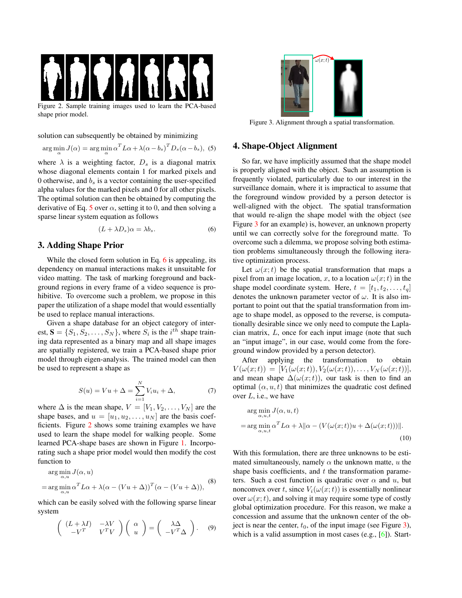

solution can subsequently be obtained by minimizing

$$
\arg\min_{\alpha} J(\alpha) = \arg\min_{\alpha} \alpha^{T} L\alpha + \lambda(\alpha - b_{s})^{T} D_{s}(\alpha - b_{s}), \tag{5}
$$

where  $\lambda$  is a weighting factor,  $D_s$  is a diagonal matrix whose diagonal elements contain <sup>1</sup> for marked <sup>p</sup>ixels and 0 otherwise, and  $b_s$  is a vector containing the user-specified alpha values for the marked <sup>p</sup>ixels and <sup>0</sup> for all other <sup>p</sup>ixels. The optimal solution can then be obtained by computing the derivative of Eq. 5 over  $\alpha$ , setting it to 0, and then solving a sparse linear system equation as follows

$$
(L + \lambda D_s)\alpha = \lambda b_s. \tag{6}
$$

## 3. Adding Shape Prior

While the closed form solution in Eq. 6 is appealing, its dependency on manual interactions makes it unsuitable for video matting. The task of marking foreground and backgroun<sup>d</sup> regions in every frame of <sup>a</sup> video sequence is prohibitive. To overcome such <sup>a</sup> problem, we propose in this paper the utilization of <sup>a</sup> shape model that would essentially be used to replace manual interactions.

Given <sup>a</sup> shape database for an object category of interest,  $S = \{S_1, S_2, \dots, S_N\}$ , where  $S_i$  is the *i*<sup>th</sup> shape training data represented as <sup>a</sup> binary map and all shape images are spatially registered, we train <sup>a</sup> PCA-based shape prior model through eigen-analysis. The trained model can then be used to represen<sup>t</sup> <sup>a</sup> shape as

$$
S(u) = Vu + \Delta = \sum_{i=1}^{N} V_i u_i + \Delta,
$$
 (7)

where  $\Delta$  is the mean shape,  $V = [V_1, V_2, \dots, V_N]$  are the shape bases, and  $u = [u_1, u_2, \dots, u_N]$  are the basis coefficients. Figure <sup>2</sup> shows some training examples we have used to learn the shape model for walking people. Some learned PCA-shape bases are shown in Figure 1. Incorporating such <sup>a</sup> shape prior model would then modify the cost function to

$$
\arg\min_{\alpha,u} J(\alpha, u)
$$
  
= 
$$
\arg\min_{\alpha,u} \alpha^T L\alpha + \lambda(\alpha - (Vu + \Delta))^T(\alpha - (Vu + \Delta)),
$$
 (8)

which can be easily solved with the following sparse linear system

$$
\begin{pmatrix} (L+\lambda I) & -\lambda V \\ -V^T & V^T V \end{pmatrix} \begin{pmatrix} \alpha \\ u \end{pmatrix} = \begin{pmatrix} \lambda \Delta \\ -V^T \Delta \end{pmatrix}.
$$
 (9)



Figure 3. Alignment through <sup>a</sup> spatial transformation.

#### 4. Shape-Object Alignment

So far, we have implicitly assumed that the shape model is properly aligned with the object. Such an assumption is frequently violated, particularly due to our interest in the surveillance domain, where it is impractical to assume that the foreground window provided by <sup>a</sup> person detector is well-aligned with the object. The spatial transformation that would re-align the shape model with the object (see Figure <sup>3</sup> for an example) is, however, an unknown property until we can correctly solve for the foreground matte. To overcome such <sup>a</sup> dilemma, we propose solving both estimation problems simultaneously through the following iterative optimization process.

Let  $\omega(x;t)$  be the spatial transformation that maps a pixel from an image location, x, to a location  $\omega(x; t)$  in the shape model coordinate system. Here,  $t = [t_1, t_2, \dots, t_q]$ denotes the unknown parameter vector of  $\omega$ . It is also important to point out that the spatial transformation from image to shape model, as oppose<sup>d</sup> to the reverse, is computationally desirable since we only need to compute the Laplacian matrix, <sup>L</sup>, once for each input image (note that such an "input image", in our case, would come from the foreground window provided by a person detector).<br>After applying the transformation

applying the transformation to obtain  $V(\omega(x;t)) = [V_1(\omega(x;t)), V_2(\omega(x;t)), \dots, V_N(\omega(x;t))],$ and mean shape  $\Delta(\omega(x;t))$ , our task is then to find an optimal  $(\alpha, u, t)$  that minimizes the quadratic cost defined over  $L$ , i.e., we have

$$
\arg\min_{\alpha, u, t} J(\alpha, u, t)
$$
  
= 
$$
\arg\min_{\alpha, u, t} \alpha^T L \alpha + \lambda ||\alpha - (V(\omega(x; t))u + \Delta(\omega(x; t)))||.
$$
 (10)

With this formulation, there are three unknowns to be estimated simultaneously, namely  $\alpha$  the unknown matte, u the shape basis coefficients, and  $t$  the transformation parameters. Such a cost function is quadratic over  $\alpha$  and  $u$ , but nonconvex over t, since  $V_i(\omega(x;t))$  is essentially nonlinear over  $\omega(x; t)$ , and solving it may require some type of costly <sup>g</sup>lobal optimization procedure. For this reason, we make <sup>a</sup> concession and assume that the unknown center of the object is near the center,  $t_0$ , of the input image (see Figure 3), which is <sup>a</sup> valid assumption in most cases (e.g., [6]). Start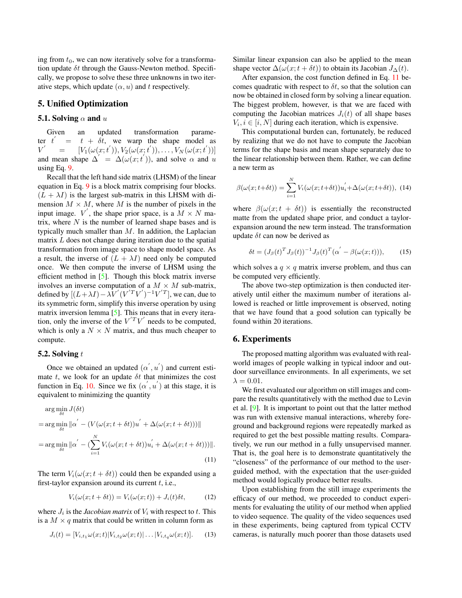ing from  $t_0$ , we can now iteratively solve for a transformation update  $\delta t$  through the Gauss-Newton method. Specifically, we propose to solve these three unknowns in two iterative steps, which update  $(\alpha, u)$  and t respectively.

## 5. Unified Optimization

#### 5.1. Solving  $\alpha$  and  $u$

Given an updated transformation parameter  $t^{'}$ = $t + \delta t$ , we warp the shape model as  $V'$  $= \left[ V_1(\omega(x;t')) , V_2(\omega(x;t')) , \ldots , V_N(\omega(x;t')) \right]$ and mean shape  $\Delta' = \Delta(\omega(x; t'))$ , and solve  $\alpha$  and u using Eq. 9.

Recall that the left hand side matrix (LHSM) of the linear equation in Eq. <sup>9</sup> is <sup>a</sup> block matrix comprising four blocks.  $(L + \lambda I)$  is the largest sub-matrix in this LHSM with dimension  $M \times M$ , where M is the number of pixels in the input image.  $V'$ , the shape prior space, is a  $M \times N$  matrix, where  $N$  is the number of learned shape bases and is typically much smaller than  $M$ . In addition, the Laplacian matrix  $L$  does not change during iteration due to the spatial transformation from image space to shape model space. As a result, the inverse of  $(L + \lambda I)$  need only be computed once. We then compute the inverse of LHSM using the efficient method in  $[5]$ . Though this block matrix inverse involves an inverse computation of a  $M \times M$  sub-matrix, defined by  $[(L+\lambda I) - \lambda V' (V'^T V')^{-1} V'^T]$ , we can, due to its symmetric form, simplify this inverse operation by using matrix inversion lemma  $[5]$ . This means that in every iteration, only the inverse of the  $V^T V'$  needs to be computed, which is only a  $N \times N$  matrix, and thus much cheaper to compute.

#### 5.2. Solving  $t$

Once we obtained an updated  $(\alpha', u')$  and current estimate t, we look for an update  $\delta t$  that minimizes the cost function in Eq. 10. Since we fix  $(\alpha', u')$  at this stage, it is equivalent to minimizing the quantity

$$
\arg\min_{\delta t} J(\delta t)
$$
  
= 
$$
\arg\min_{\delta t} ||\alpha' - (V(\omega(x; t + \delta t))u' + \Delta(\omega(x; t + \delta t)))||
$$
  
= 
$$
\arg\min_{\delta t} ||\alpha' - (\sum_{i=1}^{N} V_i(\omega(x; t + \delta t))u'_i + \Delta(\omega(x; t + \delta t)))||.
$$
 (11)

The term  $V_i(\omega(x; t + \delta t))$  could then be expanded using a first-taylor expansion around its current  $t$ , i.e.,

$$
V_i(\omega(x; t + \delta t)) = V_i(\omega(x; t)) + J_i(t)\delta t, \qquad (12)
$$

where  $J_i$  is the *Jacobian matrix* of  $V_i$  with respect to t. This is a  $M \times q$  matrix that could be written in column form as

$$
J_i(t) = [V_{i,t_1} \omega(x;t) | V_{i,t_2} \omega(x;t) | \dots | V_{i,t_q} \omega(x;t)]. \quad (13)
$$

Similar linear expansion can also be applied to the mean shape vector  $\Delta(\omega(x; t + \delta t))$  to obtain its Jacobian  $J_{\Delta}(t)$ .

After expansion, the cost function defined in Eq. <sup>11</sup> becomes quadratic with respect to  $\delta t$ , so that the solution can now be obtained in closed form by solving <sup>a</sup> linear equation. The biggest problem, however, is that we are faced with computing the Jacobian matrices  $J_i(t)$  of all shape bases  $V_i, i \in [i, N]$  during each iteration, which is expensive.

This computational burden can, fortunately, be reduced by realizing that we do not have to compute the Jacobian terms for the shape basis and mean shape separately due to the linear relationship between them. Rather, we can define <sup>a</sup> new term as

$$
\beta(\omega(x; t+\delta t)) = \sum_{i=1}^{N} V_i(\omega(x; t+\delta t)) u'_i + \Delta(\omega(x; t+\delta t)), \quad (14)
$$

where  $\beta(\omega(x; t + \delta t))$  is essentially the reconstructed matte from the updated shape prior, and conduct <sup>a</sup> taylorexpansion around the new term instead. The transformation update  $\delta t$  can now be derived as

$$
\delta t = (J_{\beta}(t)^T J_{\beta}(t))^{-1} J_{\beta}(t)^T (\alpha^{'} - \beta(\omega(x; t))), \qquad (15)
$$

which solves a  $q \times q$  matrix inverse problem, and thus can be computed very efficiently.

The above two-step optimization is then conducted iteratively until either the maximum number of iterations allowed is reached or little improvement is observed, noting that we have found that <sup>a</sup> goo<sup>d</sup> solution can typically be found within <sup>20</sup> iterations.

#### 6. Experiments

The propose<sup>d</sup> matting algorithm was evaluated with realworld images of people walking in typical indoor and outdoor surveillance environments. In all experiments, we set  $\lambda = 0.01$ .

We first evaluated our algorithm on still images and compare the results quantitatively with the method due to Levin et al. [9]. It is important to point out that the latter method was run with extensive manual interactions, whereby foregroun<sup>d</sup> and background regions were repeatedly marked as required to ge<sup>t</sup> the best possible matting results. Comparatively, we run our method in <sup>a</sup> fully unsupervised manner. That is, the goa<sup>l</sup> here is to demonstrate quantitatively the "closeness" of the performance of our method to the userguided method, with the expectation that the user-guided method would logically produce better results.

Upon establishing from the still image experiments the efficacy of our method, we proceeded to conduct experiments for evaluating the utility of our method when applied to video sequence. The quality of the video sequences used in these experiments, being captured from typical CCTV cameras, is naturally much poorer than those datasets used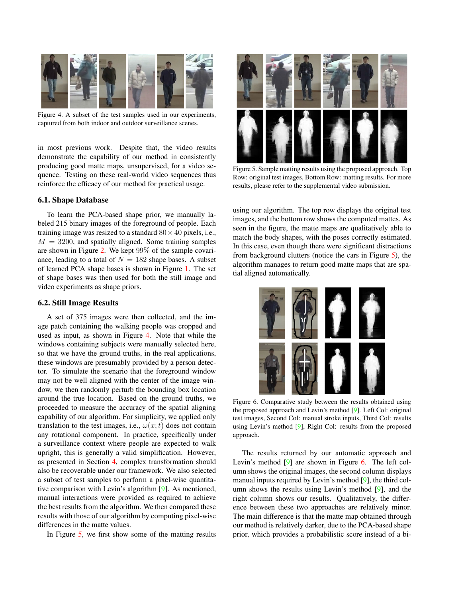

Figure 4. <sup>A</sup> subset of the test samples used in our experiments, captured from both indoor and outdoor surveillance scenes.

in most previous work. Despite that, the video results demonstrate the capability of our method in consistently producing goo<sup>d</sup> matte maps, unsupervised, for <sup>a</sup> video sequence. Testing on these real-world video sequences thus reinforce the efficacy of our method for practical usage.

## 6.1. Shape Database

To learn the PCA-based shape prior, we manually labeled <sup>215</sup> binary images of the foreground of people. Each training image was resized to a standard  $80 \times 40$  pixels, i.e.,  $M = 3200$ , and spatially aligned. Some training samples are shown in Figure 2. We kept 99% of the sample covariance, leading to a total of  $N = 182$  shape bases. A subset of learned PCA shape bases is shown in Figure 1. The set of shape bases was then used for both the still image and video experiments as shape priors.

## 6.2. Still Image Results

<sup>A</sup> set of <sup>375</sup> images were then collected, and the image patch containing the walking people was croppe<sup>d</sup> and used as input, as shown in Figure 4. Note that while the windows containing subjects were manually selected here, so that we have the groun<sup>d</sup> truths, in the real applications, these windows are presumably provided by <sup>a</sup> person detector. To simulate the scenario that the foreground window may not be well aligned with the center of the image window, we then randomly perturb the bounding box location around the true location. Based on the groun<sup>d</sup> truths, we proceeded to measure the accuracy of the spatial aligning capability of our algorithm. For simplicity, we applied only translation to the test images, i.e.,  $\omega(x; t)$  does not contain any rotational component. In practice, specifically under <sup>a</sup> surveillance context where people are expected to walk upright, this is generally <sup>a</sup> valid simplification. However, as presented in Section 4, complex transformation should also be recoverable under our framework. We also selected <sup>a</sup> subset of test samples to perform <sup>a</sup> <sup>p</sup>ixel-wise quantitative comparison with Levin's algorithm [9]. As mentioned, manual interactions were provided as required to achieve the best results from the algorithm. We then compare<sup>d</sup> these results with those of our algorithm by computing <sup>p</sup>ixel-wise differences in the matte values.

In Figure 5, we first show some of the matting results



Figure 5. Sample matting results using the propose<sup>d</sup> approach. Top Row: original test images, Bottom Row: matting results. For more results, <sup>p</sup>lease refer to the supplemental video submission.

using our algorithm. The top row displays the original test images, and the bottom row shows the computed mattes. As seen in the figure, the matte maps are qualitatively able to match the body shapes, with the poses correctly estimated. In this case, even though there were significant distractions from background clutters (notice the cars in Figure 5), the algorithm manages to return goo<sup>d</sup> matte maps that are spatial aligned automatically.



Figure 6. Comparative study between the results obtained using the propose<sup>d</sup> approac<sup>h</sup> and Levin's method [9]. Left Col: original test images, Second Col: manual stroke inputs, Third Col: results using Levin's method [9], Right Col: results from the propose<sup>d</sup> approach.

The results returned by our automatic approac<sup>h</sup> and Levin's method [9] are shown in Figure 6. The left column shows the original images, the second column displays manual inputs required by Levin's method [9], the third column shows the results using Levin's method [9], and the right column shows our results. Qualitatively, the difference between these two approaches are relatively minor. The main difference is that the matte map obtained through our method is relatively darker, due to the PCA-based shape prior, which provides <sup>a</sup> probabilistic score instead of <sup>a</sup> bi-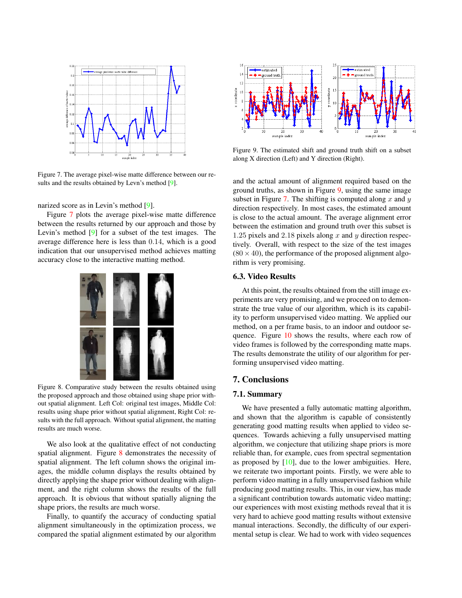

Figure 7. The average <sup>p</sup>ixel-wise matte difference between our results and the results obtained by Levn's method [9].

narized score as in Levin's method [9].

Figure <sup>7</sup> <sup>p</sup>lots the average <sup>p</sup>ixel-wise matte difference between the results returned by our approac<sup>h</sup> and those by Levin's method [9] for <sup>a</sup> subset of the test images. The average difference here is less than <sup>0</sup>.14, which is <sup>a</sup> goo<sup>d</sup> indication that our unsupervised method achieves matting accuracy close to the interactive matting method.



Figure 8. Comparative study between the results obtained using the propose<sup>d</sup> approac<sup>h</sup> and those obtained using shape prior without spatial alignment. Left Col: original test images, Middle Col: results using shape prior without spatial alignment, Right Col: results with the full approach. Without spatial alignment, the matting results are much worse.

We also look at the qualitative effect of not conducting spatial alignment. Figure <sup>8</sup> demonstrates the necessity of spatial alignment. The left column shows the original images, the middle column displays the results obtained by directly applying the shape prior without dealing with alignment, and the right column shows the results of the full approach. It is obvious that without spatially aligning the shape priors, the results are much worse.

Finally, to quantify the accuracy of conducting spatial alignment simultaneously in the optimization process, we compare<sup>d</sup> the spatial alignment estimated by our algorithm



Figure 9. The estimated shift and groun<sup>d</sup> truth shift on <sup>a</sup> subset along <sup>X</sup> direction (Left) and <sup>Y</sup> direction (Right).

and the actual amount of alignment required based on the groun<sup>d</sup> truths, as shown in Figure 9, using the same image subset in Figure 7. The shifting is computed along  $x$  and  $y$ direction respectively. In most cases, the estimated amount is close to the actual amount. The average alignment error between the estimation and groun<sup>d</sup> truth over this subset is 1.25 pixels and 2.18 pixels along x and y direction respectively. Overall, with respec<sup>t</sup> to the size of the test images  $(80 \times 40)$ , the performance of the proposed alignment algorithm is very promising.

## 6.3. Video Results

At this point, the results obtained from the still image experiments are very promising, and we procee<sup>d</sup> on to demonstrate the true value of our algorithm, which is its capability to perform unsupervised video matting. We applied our method, on <sup>a</sup> per frame basis, to an indoor and outdoor sequence. Figure <sup>10</sup> shows the results, where each row of video frames is followed by the corresponding matte maps. The results demonstrate the utility of our algorithm for performing unsupervised video matting.

## 7. Conclusions

## 7.1. Summary

We have presented <sup>a</sup> fully automatic matting algorithm, and shown that the algorithm is capable of consistently generating goo<sup>d</sup> matting results when applied to video sequences. Towards achieving <sup>a</sup> fully unsupervised matting algorithm, we conjecture that utilizing shape priors is more reliable than, for example, cues from spectral segmentation as proposed by  $[10]$ , due to the lower ambiguities. Here, we reiterate two important points. Firstly, we were able to perform video matting in <sup>a</sup> fully unsupervised fashion while producing goo<sup>d</sup> matting results. This, in our view, has made <sup>a</sup> significant contribution towards automatic video matting; our experiences with most existing methods reveal that it is very hard to achieve goo<sup>d</sup> matting results without extensive manual interactions. Secondly, the difficulty of our experimental setup is clear. We had to work with video sequences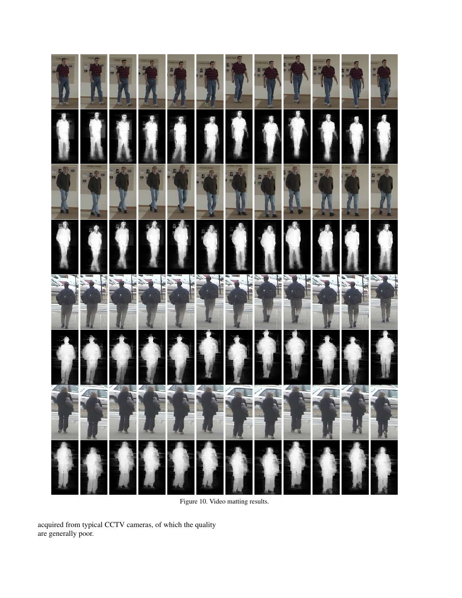

Figure 10. Video matting results.

acquired from typical CCTV cameras, of which the quality are generally poor.